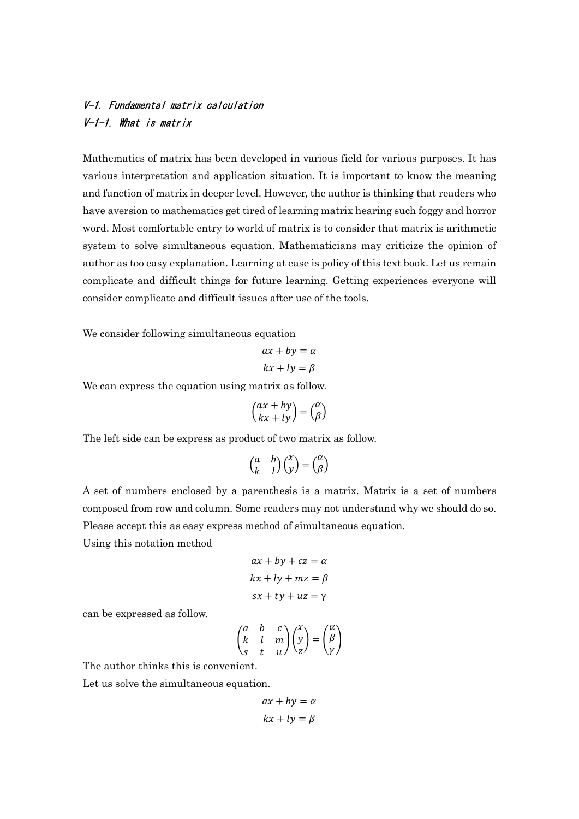## V-1. Fundamental matrix calculation V-1-1. What is matrix

Mathematics of matrix has been developed in various field for various purposes. It has various interpretation and application situation. It is important to know the meaning and function of matrix in deeper level. However, the author is thinking that readers who have aversion to mathematics get tired of learning matrix hearing such foggy and horror word. Most comfortable entry to world of matrix is to consider that matrix is arithmetic system to solve simultaneous equation. Mathematicians may criticize the opinion of author as too easy explanation. Learning at ease is policy of this text book. Let us remain complicate and difficult things for future learning. Getting experiences everyone will consider complicate and difficult issues after use of the tools.

We consider following simultaneous equation

$$
ax + by = \alpha
$$

$$
kx + ly = \beta
$$

We can express the equation using matrix as follow.

$$
\binom{ax+by}{kx+ly}=\binom{\alpha}{\beta}
$$

The left side can be express as product of two matrix as follow.

$$
\begin{pmatrix} a & b \\ k & l \end{pmatrix} \begin{pmatrix} x \\ y \end{pmatrix} = \begin{pmatrix} \alpha \\ \beta \end{pmatrix}
$$

A set of numbers enclosed by a parenthesis is a matrix. Matrix is a set of numbers composed from row and column. Some readers may not understand why we should do so. Please accept this as easy express method of simultaneous equation.

Using this notation method

$$
ax + by + cz = \alpha
$$

$$
kx + ly + mz = \beta
$$

$$
sx + ty + uz = \gamma
$$

can be expressed as follow.

$$
\begin{pmatrix} a & b & c \\ k & l & m \\ s & t & u \end{pmatrix} \begin{pmatrix} x \\ y \\ z \end{pmatrix} = \begin{pmatrix} \alpha \\ \beta \\ \gamma \end{pmatrix}
$$

The author thinks this is convenient.

Let us solve the simultaneous equation.

$$
ax + by = \alpha
$$

$$
kx + ly = \beta
$$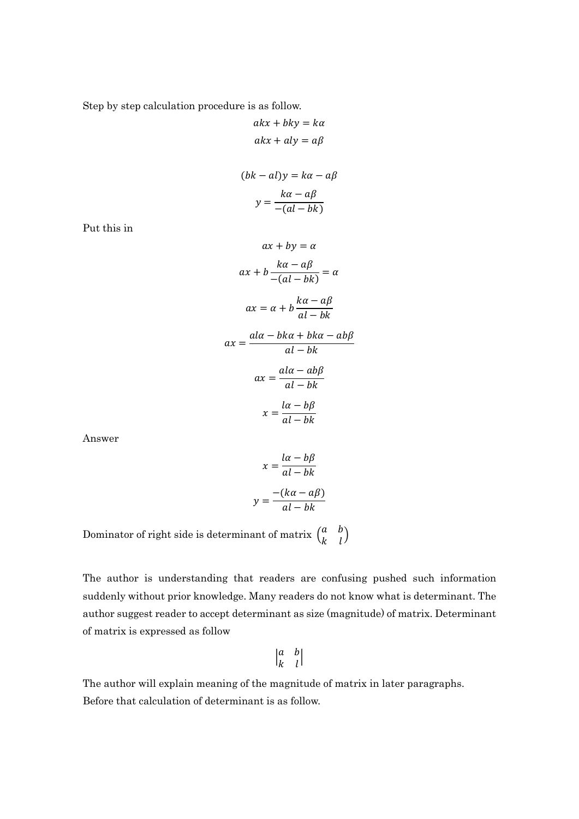Step by step calculation procedure is as follow.

$$
akx + bky = ka
$$
  
\n
$$
akx + aly = a\beta
$$
  
\n
$$
(bk - a1)y = ka - a\beta
$$
  
\n
$$
y = \frac{k\alpha - a\beta}{-(al - bk)}
$$
  
\n
$$
ax + by = \alpha
$$
  
\n
$$
ax + b\frac{k\alpha - a\beta}{-(al - bk)} = \alpha
$$
  
\n
$$
ax = \alpha + b\frac{k\alpha - a\beta}{al - bk}
$$
  
\n
$$
ax = \frac{al\alpha - bk\alpha + bk\alpha - ab\beta}{al - bk}
$$
  
\n
$$
ax = \frac{al\alpha - ab\beta}{al - bk}
$$
  
\n
$$
x = \frac{la(a - b\beta)}{al - bk}
$$

Answer

Put this in

$$
x = \frac{l\alpha - b\beta}{al - bk}
$$

$$
y = \frac{-(k\alpha - a\beta)}{al - bk}
$$

Dominator of right side is determinant of matrix  $\begin{pmatrix} a & b \\ b & d \end{pmatrix}$  $\begin{pmatrix} a & b \\ k & l \end{pmatrix}$ 

The author is understanding that readers are confusing pushed such information suddenly without prior knowledge. Many readers do not know what is determinant. The author suggest reader to accept determinant as size (magnitude) of matrix. Determinant of matrix is expressed as follow

$$
\begin{vmatrix} a & b \\ k & l \end{vmatrix}
$$

The author will explain meaning of the magnitude of matrix in later paragraphs. Before that calculation of determinant is as follow.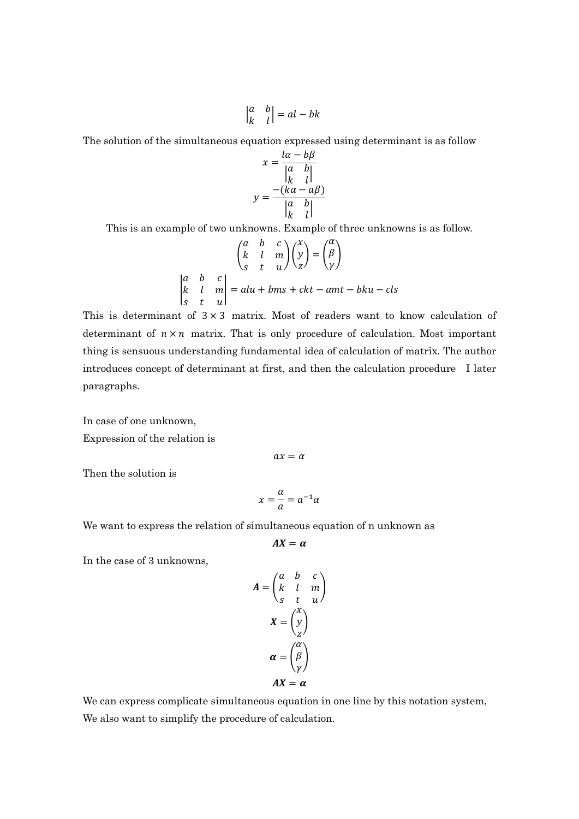$$
\begin{vmatrix} a & b \\ k & l \end{vmatrix} = al - bk
$$

The solution of the simultaneous equation expressed using determinant is as follow

$$
x = \frac{a - b\beta}{\begin{vmatrix} a & b \\ k & l \end{vmatrix}}
$$

$$
y = \frac{-(k\alpha - a\beta)}{\begin{vmatrix} a & b \\ k & l \end{vmatrix}}
$$

This is an example of two unknowns. Example of three unknowns is as follow.

$$
\begin{pmatrix}\n a & b & c \\
k & l & m \\
s & t & u\n\end{pmatrix}\n\begin{pmatrix}\n x \\
y \\
z\n\end{pmatrix} =\n\begin{pmatrix}\n \alpha \\
\beta \\
\gamma\n\end{pmatrix}
$$
\n
$$
\begin{vmatrix}\n a & b & c \\
k & l & m \\
s & t & u\n\end{vmatrix} = alu + bms + ckt - amt - bku - cls
$$

This is determinant of  $3 \times 3$  matrix. Most of readers want to know calculation of determinant of  $n \times n$  matrix. That is only procedure of calculation. Most important thing is sensuous understanding fundamental idea of calculation of matrix. The author introduces concept of determinant at first, and then the calculation procedure I later paragraphs.

In case of one unknown,

Expression of the relation is

 $ax = \alpha$ 

Then the solution is

$$
x = \frac{\alpha}{a} = a^{-1} \alpha
$$

We want to express the relation of simultaneous equation of n unknown as

$$
AX=\alpha
$$

In the case of 3 unknowns,

$$
A = \begin{pmatrix} a & b & c \\ k & l & m \\ s & t & u \end{pmatrix}
$$

$$
X = \begin{pmatrix} x \\ y \\ z \end{pmatrix}
$$

$$
\alpha = \begin{pmatrix} \alpha \\ \beta \\ \gamma \end{pmatrix}
$$

$$
AX = \alpha
$$

We can express complicate simultaneous equation in one line by this notation system, We also want to simplify the procedure of calculation.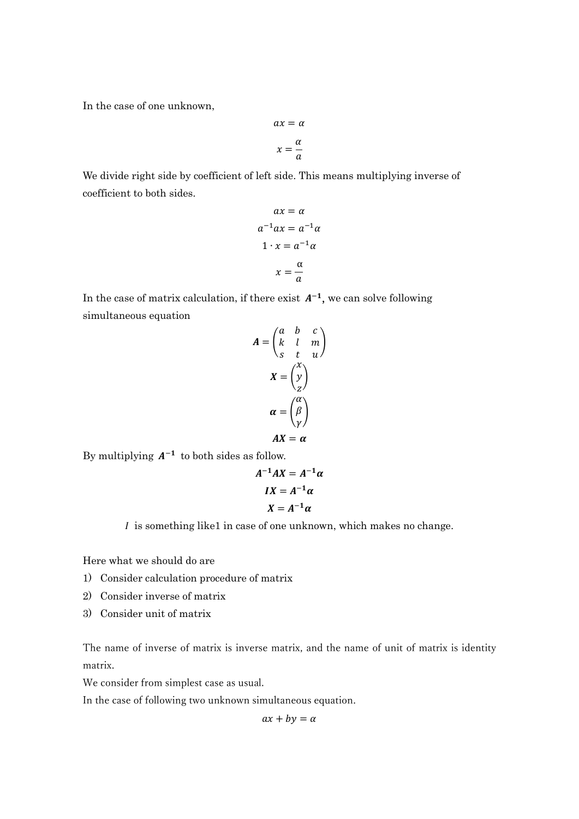In the case of one unknown,

$$
ax = \alpha
$$

$$
x = \frac{\alpha}{a}
$$

We divide right side by coefficient of left side. This means multiplying inverse of coefficient to both sides.

$$
ax = \alpha
$$
  
\n
$$
a^{-1}ax = a^{-1}\alpha
$$
  
\n
$$
1 \cdot x = a^{-1}\alpha
$$
  
\n
$$
x = \frac{\alpha}{a}
$$

In the case of matrix calculation, if there exist  $A^{-1}$ , we can solve following simultaneous equation

$$
A = \begin{pmatrix} a & b & c \\ k & l & m \\ s & t & u \end{pmatrix}
$$

$$
X = \begin{pmatrix} x \\ y \\ z \end{pmatrix}
$$

$$
\alpha = \begin{pmatrix} \alpha \\ \beta \\ \gamma \end{pmatrix}
$$

$$
AX = \alpha
$$

By multiplying  $A^{-1}$  to both sides as follow.

$$
A^{-1}AX = A^{-1}\alpha
$$

$$
IX = A^{-1}\alpha
$$

$$
X = A^{-1}\alpha
$$

 $I$  is something like1 in case of one unknown, which makes no change.

Here what we should do are

- 1) Consider calculation procedure of matrix
- 2) Consider inverse of matrix
- 3) Consider unit of matrix

The name of inverse of matrix is inverse matrix, and the name of unit of matrix is identity matrix.

We consider from simplest case as usual.

In the case of following two unknown simultaneous equation.

$$
ax + by = \alpha
$$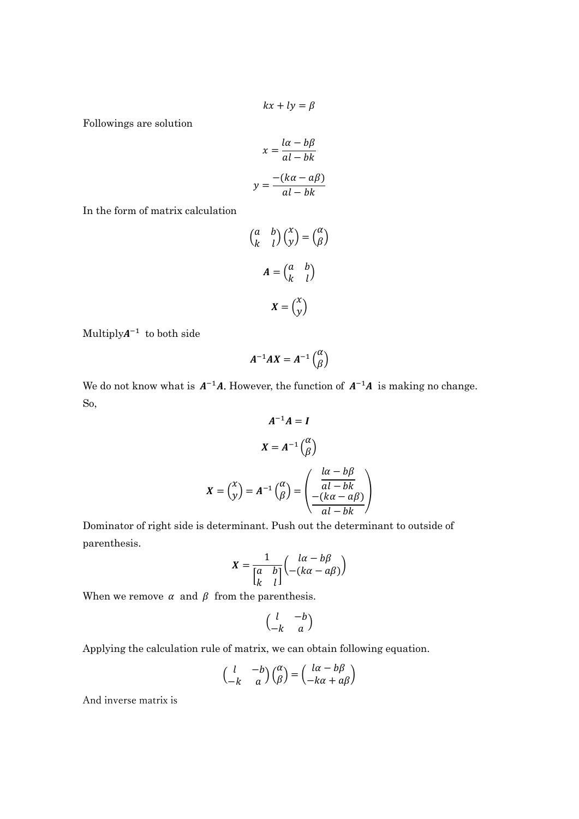$$
kx + ly = \beta
$$

Followings are solution

$$
x = \frac{l\alpha - b\beta}{al - bk}
$$

$$
y = \frac{-(k\alpha - a\beta)}{al - bk}
$$

In the form of matrix calculation

$$
\begin{pmatrix} a & b \\ k & l \end{pmatrix} \begin{pmatrix} x \\ y \end{pmatrix} = \begin{pmatrix} \alpha \\ \beta \end{pmatrix}
$$

$$
A = \begin{pmatrix} a & b \\ k & l \end{pmatrix}
$$

$$
X = \begin{pmatrix} x \\ y \end{pmatrix}
$$

Multiply $A^{-1}$  to both side

$$
A^{-1}AX=A^{-1}\begin{pmatrix} \alpha \\ \beta \end{pmatrix}
$$

We do not know what is  $A^{-1}A$ . However, the function of  $A^{-1}A$  is making no change. So,

$$
A^{-1}A = I
$$

$$
X = A^{-1} \begin{pmatrix} \alpha \\ \beta \end{pmatrix}
$$

$$
X = \begin{pmatrix} x \\ y \end{pmatrix} = A^{-1} \begin{pmatrix} \alpha \\ \beta \end{pmatrix} = \begin{pmatrix} \frac{l\alpha - b\beta}{al - bk} \\ \frac{-(k\alpha - a\beta)}{al - bk} \end{pmatrix}
$$

Dominator of right side is determinant. Push out the determinant to outside of parenthesis.

$$
X = \frac{1}{\begin{bmatrix} a & b \\ k & l \end{bmatrix}} \begin{pmatrix} l\alpha - b\beta \\ -(k\alpha - a\beta) \end{pmatrix}
$$

When we remove  $\alpha$  and  $\beta$  from the parenthesis.

$$
\begin{pmatrix} l & -b \\ -k & a \end{pmatrix}
$$

Applying the calculation rule of matrix, we can obtain following equation.

$$
\begin{pmatrix} l & -b \\ -k & a \end{pmatrix} \begin{pmatrix} \alpha \\ \beta \end{pmatrix} = \begin{pmatrix} l\alpha - b\beta \\ -k\alpha + a\beta \end{pmatrix}
$$

And inverse matrix is